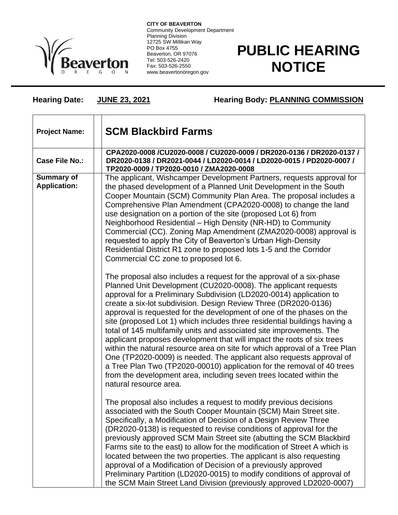

**CITY OF BEAVERTON** Community Development Department Planning Division 12725 SW Millikan Way PO Box 4755 Beaverton, OR 97076 Tel: 503-526-2420 Fax: 503-526-2550 www.beavertonoregon.gov

## **PUBLIC HEARING NOTICE**

**Hearing Date: JUNE 23, 2021 Hearing Body: PLANNING COMMISSION**

| <b>Project Name:</b>              | <b>SCM Blackbird Farms</b>                                                                                                                                                                                                                                                                                                                                                                                                                                                                                                                                                                                                                                                                                                                                                                                                                                                                                                |
|-----------------------------------|---------------------------------------------------------------------------------------------------------------------------------------------------------------------------------------------------------------------------------------------------------------------------------------------------------------------------------------------------------------------------------------------------------------------------------------------------------------------------------------------------------------------------------------------------------------------------------------------------------------------------------------------------------------------------------------------------------------------------------------------------------------------------------------------------------------------------------------------------------------------------------------------------------------------------|
| <b>Case File No.:</b>             | CPA2020-0008 /CU2020-0008 / CU2020-0009 / DR2020-0136 / DR2020-0137 /<br>DR2020-0138 / DR2021-0044 / LD2020-0014 / LD2020-0015 / PD2020-0007 /<br>TP2020-0009 / TP2020-0010 / ZMA2020-0008                                                                                                                                                                                                                                                                                                                                                                                                                                                                                                                                                                                                                                                                                                                                |
| Summary of<br><b>Application:</b> | The applicant, Wishcamper Development Partners, requests approval for<br>the phased development of a Planned Unit Development in the South<br>Cooper Mountain (SCM) Community Plan Area. The proposal includes a<br>Comprehensive Plan Amendment (CPA2020-0008) to change the land<br>use designation on a portion of the site (proposed Lot 6) from<br>Neighborhood Residential - High Density (NR-HD) to Community<br>Commercial (CC). Zoning Map Amendment (ZMA2020-0008) approval is<br>requested to apply the City of Beaverton's Urban High-Density<br>Residential District R1 zone to proposed lots 1-5 and the Corridor<br>Commercial CC zone to proposed lot 6.                                                                                                                                                                                                                                                  |
|                                   | The proposal also includes a request for the approval of a six-phase<br>Planned Unit Development (CU2020-0008). The applicant requests<br>approval for a Preliminary Subdivision (LD2020-0014) application to<br>create a six-lot subdivision. Design Review Three (DR2020-0136)<br>approval is requested for the development of one of the phases on the<br>site (proposed Lot 1) which includes three residential buildings having a<br>total of 145 multifamily units and associated site improvements. The<br>applicant proposes development that will impact the roots of six trees<br>within the natural resource area on site for which approval of a Tree Plan<br>One (TP2020-0009) is needed. The applicant also requests approval of<br>a Tree Plan Two (TP2020-00010) application for the removal of 40 trees<br>from the development area, including seven trees located within the<br>natural resource area. |
|                                   | The proposal also includes a request to modify previous decisions<br>associated with the South Cooper Mountain (SCM) Main Street site.<br>Specifically, a Modification of Decision of a Design Review Three<br>(DR2020-0138) is requested to revise conditions of approval for the<br>previously approved SCM Main Street site (abutting the SCM Blackbird<br>Farms site to the east) to allow for the modification of Street A which is<br>located between the two properties. The applicant is also requesting<br>approval of a Modification of Decision of a previously approved<br>Preliminary Partition (LD2020-0015) to modify conditions of approval of<br>the SCM Main Street Land Division (previously approved LD2020-0007)                                                                                                                                                                                     |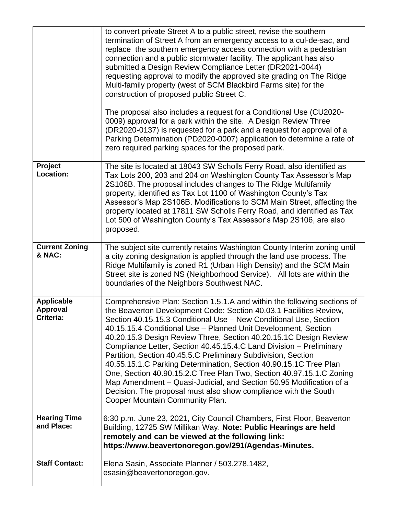|                                                   | to convert private Street A to a public street, revise the southern<br>termination of Street A from an emergency access to a cul-de-sac, and<br>replace the southern emergency access connection with a pedestrian<br>connection and a public stormwater facility. The applicant has also<br>submitted a Design Review Compliance Letter (DR2021-0044)<br>requesting approval to modify the approved site grading on The Ridge<br>Multi-family property (west of SCM Blackbird Farms site) for the<br>construction of proposed public Street C.<br>The proposal also includes a request for a Conditional Use (CU2020-<br>0009) approval for a park within the site. A Design Review Three<br>(DR2020-0137) is requested for a park and a request for approval of a<br>Parking Determination (PD2020-0007) application to determine a rate of<br>zero required parking spaces for the proposed park. |
|---------------------------------------------------|------------------------------------------------------------------------------------------------------------------------------------------------------------------------------------------------------------------------------------------------------------------------------------------------------------------------------------------------------------------------------------------------------------------------------------------------------------------------------------------------------------------------------------------------------------------------------------------------------------------------------------------------------------------------------------------------------------------------------------------------------------------------------------------------------------------------------------------------------------------------------------------------------|
| Project<br>Location:                              | The site is located at 18043 SW Scholls Ferry Road, also identified as<br>Tax Lots 200, 203 and 204 on Washington County Tax Assessor's Map<br>2S106B. The proposal includes changes to The Ridge Multifamily<br>property, identified as Tax Lot 1100 of Washington County's Tax<br>Assessor's Map 2S106B. Modifications to SCM Main Street, affecting the<br>property located at 17811 SW Scholls Ferry Road, and identified as Tax<br>Lot 500 of Washington County's Tax Assessor's Map 2S106, are also<br>proposed.                                                                                                                                                                                                                                                                                                                                                                               |
| <b>Current Zoning</b><br>& NAC:                   | The subject site currently retains Washington County Interim zoning until<br>a city zoning designation is applied through the land use process. The<br>Ridge Multifamily is zoned R1 (Urban High Density) and the SCM Main<br>Street site is zoned NS (Neighborhood Service). All lots are within the<br>boundaries of the Neighbors Southwest NAC.                                                                                                                                                                                                                                                                                                                                                                                                                                                                                                                                                  |
| <b>Applicable</b><br><b>Approval</b><br>Criteria: | Comprehensive Plan: Section 1.5.1.A and within the following sections of<br>the Beaverton Development Code: Section 40.03.1 Facilities Review,<br>Section 40.15.15.3 Conditional Use - New Conditional Use, Section<br>40.15.15.4 Conditional Use - Planned Unit Development, Section<br>40.20.15.3 Design Review Three, Section 40.20.15.1C Design Review<br>Compliance Letter, Section 40.45.15.4.C Land Division - Preliminary<br>Partition, Section 40.45.5.C Preliminary Subdivision, Section<br>40.55.15.1.C Parking Determination, Section 40.90.15.1C Tree Plan<br>One, Section 40.90.15.2.C Tree Plan Two, Section 40.97.15.1.C Zoning<br>Map Amendment - Quasi-Judicial, and Section 50.95 Modification of a<br>Decision. The proposal must also show compliance with the South<br>Cooper Mountain Community Plan.                                                                         |
| <b>Hearing Time</b><br>and Place:                 | 6:30 p.m. June 23, 2021, City Council Chambers, First Floor, Beaverton<br>Building, 12725 SW Millikan Way. Note: Public Hearings are held<br>remotely and can be viewed at the following link:<br>https://www.beavertonoregon.gov/291/Agendas-Minutes.                                                                                                                                                                                                                                                                                                                                                                                                                                                                                                                                                                                                                                               |
| <b>Staff Contact:</b>                             | Elena Sasin, Associate Planner / 503.278.1482,<br>esasin@beavertonoregon.gov.                                                                                                                                                                                                                                                                                                                                                                                                                                                                                                                                                                                                                                                                                                                                                                                                                        |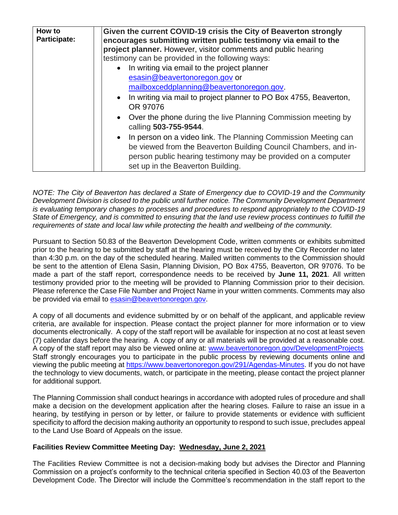| person public hearing testimony may be provided on a computer<br>set up in the Beaverton Building. | How to<br>Participate: | Given the current COVID-19 crisis the City of Beaverton strongly<br>encourages submitting written public testimony via email to the<br>project planner. However, visitor comments and public hearing<br>testimony can be provided in the following ways:<br>• In writing via email to the project planner<br>esasin@beavertonoregon.gov or<br>mailboxceddplanning@beavertonoregon.gov.<br>• In writing via mail to project planner to PO Box 4755, Beaverton,<br>OR 97076<br>Over the phone during the live Planning Commission meeting by<br>$\bullet$<br>calling 503-755-9544.<br>• In person on a video link. The Planning Commission Meeting can<br>be viewed from the Beaverton Building Council Chambers, and in- |
|----------------------------------------------------------------------------------------------------|------------------------|-------------------------------------------------------------------------------------------------------------------------------------------------------------------------------------------------------------------------------------------------------------------------------------------------------------------------------------------------------------------------------------------------------------------------------------------------------------------------------------------------------------------------------------------------------------------------------------------------------------------------------------------------------------------------------------------------------------------------|
|----------------------------------------------------------------------------------------------------|------------------------|-------------------------------------------------------------------------------------------------------------------------------------------------------------------------------------------------------------------------------------------------------------------------------------------------------------------------------------------------------------------------------------------------------------------------------------------------------------------------------------------------------------------------------------------------------------------------------------------------------------------------------------------------------------------------------------------------------------------------|

*NOTE: The City of Beaverton has declared a State of Emergency due to COVID-19 and the Community Development Division is closed to the public until further notice. The Community Development Department is evaluating temporary changes to processes and procedures to respond appropriately to the COVID-19 State of Emergency, and is committed to ensuring that the land use review process continues to fulfill the requirements of state and local law while protecting the health and wellbeing of the community.*

Pursuant to Section 50.83 of the Beaverton Development Code, written comments or exhibits submitted prior to the hearing to be submitted by staff at the hearing must be received by the City Recorder no later than 4:30 p.m. on the day of the scheduled hearing. Mailed written comments to the Commission should be sent to the attention of Elena Sasin, Planning Division, PO Box 4755, Beaverton, OR 97076. To be made a part of the staff report, correspondence needs to be received by **June 11, 2021**. All written testimony provided prior to the meeting will be provided to Planning Commission prior to their decision. Please reference the Case File Number and Project Name in your written comments. Comments may also be provided via email to [esasin@beavertonoregon.gov.](mailto:esasin@beavertonoregon.gov)

A copy of all documents and evidence submitted by or on behalf of the applicant, and applicable review criteria, are available for inspection. Please contact the project planner for more information or to view documents electronically. A copy of the staff report will be available for inspection at no cost at least seven (7) calendar days before the hearing. A copy of any or all materials will be provided at a reasonable cost. A copy of the staff report may also be viewed online at: [www.beavertonoregon.gov/DevelopmentProjects](http://www.beavertonoregon.gov/DevelopmentProjects) Staff strongly encourages you to participate in the public process by reviewing documents online and viewing the public meeting at [https://www.beavertonoregon.gov/291/Agendas-Minutes.](https://www.beavertonoregon.gov/291/Agendas-Minutes) If you do not have the technology to view documents, watch, or participate in the meeting, please contact the project planner for additional support.

The Planning Commission shall conduct hearings in accordance with adopted rules of procedure and shall make a decision on the development application after the hearing closes. Failure to raise an issue in a hearing, by testifying in person or by letter, or failure to provide statements or evidence with sufficient specificity to afford the decision making authority an opportunity to respond to such issue, precludes appeal to the Land Use Board of Appeals on the issue.

## **Facilities Review Committee Meeting Day: Wednesday, June 2, 2021**

The Facilities Review Committee is not a decision-making body but advises the Director and Planning Commission on a project's conformity to the technical criteria specified in Section 40.03 of the Beaverton Development Code. The Director will include the Committee's recommendation in the staff report to the